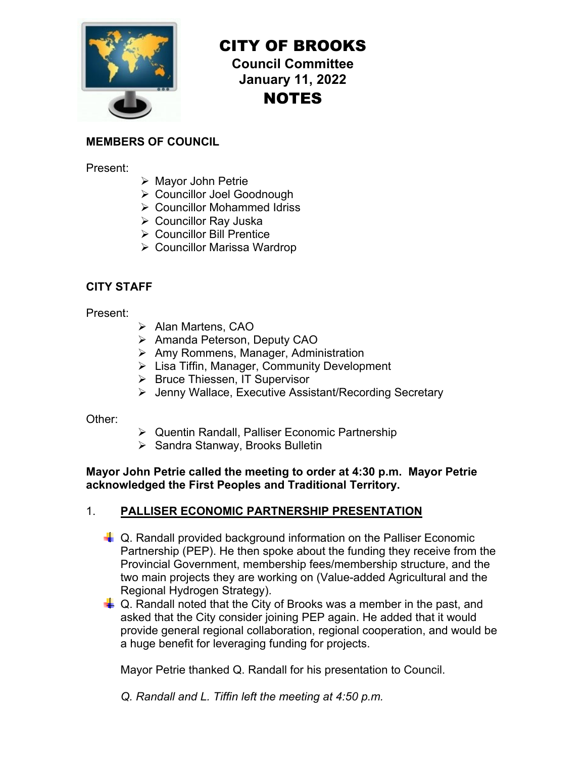

# CITY OF BROOKS

**Council Committee January 11, 2022**  NOTES

## **MEMBERS OF COUNCIL**

Present:

- Mayor John Petrie
- Councillor Joel Goodnough
- Councillor Mohammed Idriss
- Councillor Ray Juska
- **▶ Councillor Bill Prentice**
- Councillor Marissa Wardrop

# **CITY STAFF**

Present:

- > Alan Martens, CAO
- ▶ Amanda Peterson, Deputy CAO
- $\triangleright$  Amy Rommens, Manager, Administration
- ▶ Lisa Tiffin, Manager, Community Development
- ▶ Bruce Thiessen, IT Supervisor
- Jenny Wallace, Executive Assistant/Recording Secretary

Other:

- Quentin Randall, Palliser Economic Partnership
- ▶ Sandra Stanway, Brooks Bulletin

**Mayor John Petrie called the meeting to order at 4:30 p.m. Mayor Petrie acknowledged the First Peoples and Traditional Territory.** 

## 1. **PALLISER ECONOMIC PARTNERSHIP PRESENTATION**

- **E.** Q. Randall provided background information on the Palliser Economic Partnership (PEP). He then spoke about the funding they receive from the Provincial Government, membership fees/membership structure, and the two main projects they are working on (Value-added Agricultural and the Regional Hydrogen Strategy).
- $\downarrow$  Q. Randall noted that the City of Brooks was a member in the past, and asked that the City consider joining PEP again. He added that it would provide general regional collaboration, regional cooperation, and would be a huge benefit for leveraging funding for projects.

Mayor Petrie thanked Q. Randall for his presentation to Council.

*Q. Randall and L. Tiffin left the meeting at 4:50 p.m.*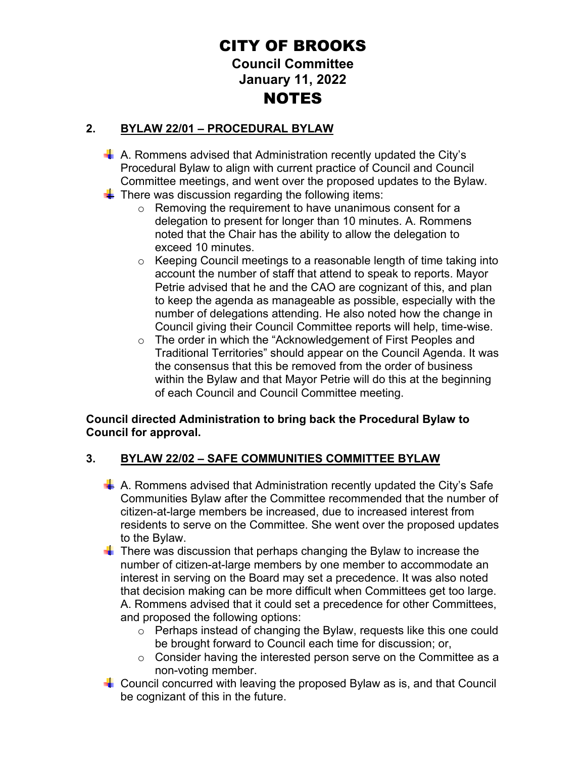# CITY OF BROOKS **Council Committee January 11, 2022**  NOTES

# **2. BYLAW 22/01 – PROCEDURAL BYLAW**

- A. Rommens advised that Administration recently updated the City's Procedural Bylaw to align with current practice of Council and Council Committee meetings, and went over the proposed updates to the Bylaw.
- $\frac{1}{2}$  There was discussion regarding the following items:
	- o Removing the requirement to have unanimous consent for a delegation to present for longer than 10 minutes. A. Rommens noted that the Chair has the ability to allow the delegation to exceed 10 minutes.
	- $\circ$  Keeping Council meetings to a reasonable length of time taking into account the number of staff that attend to speak to reports. Mayor Petrie advised that he and the CAO are cognizant of this, and plan to keep the agenda as manageable as possible, especially with the number of delegations attending. He also noted how the change in Council giving their Council Committee reports will help, time-wise.
	- o The order in which the "Acknowledgement of First Peoples and Traditional Territories" should appear on the Council Agenda. It was the consensus that this be removed from the order of business within the Bylaw and that Mayor Petrie will do this at the beginning of each Council and Council Committee meeting.

#### **Council directed Administration to bring back the Procedural Bylaw to Council for approval.**

## **3. BYLAW 22/02 – SAFE COMMUNITIES COMMITTEE BYLAW**

- $\frac{1}{2}$  A. Rommens advised that Administration recently updated the City's Safe Communities Bylaw after the Committee recommended that the number of citizen-at-large members be increased, due to increased interest from residents to serve on the Committee. She went over the proposed updates to the Bylaw.
- $\blacksquare$  There was discussion that perhaps changing the Bylaw to increase the number of citizen-at-large members by one member to accommodate an interest in serving on the Board may set a precedence. It was also noted that decision making can be more difficult when Committees get too large. A. Rommens advised that it could set a precedence for other Committees, and proposed the following options:
	- o Perhaps instead of changing the Bylaw, requests like this one could be brought forward to Council each time for discussion; or,
	- o Consider having the interested person serve on the Committee as a non-voting member.
- **Council concurred with leaving the proposed Bylaw as is, and that Council** be cognizant of this in the future.